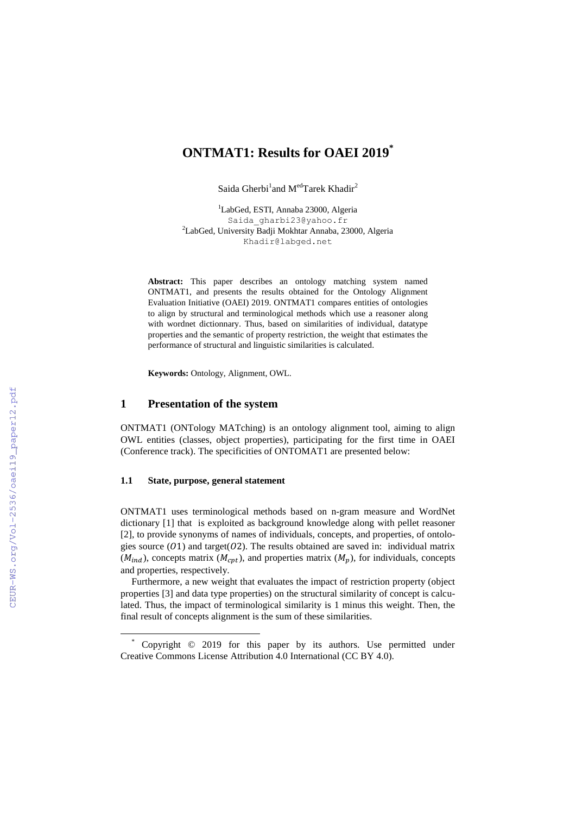# **ONTMAT1: Results for OAEI 2019 \***

Saida Gherbi<sup>1</sup>and M<sup>ed</sup>Tarek Khadir<sup>2</sup>

<sup>1</sup>LabGed, ESTI, Annaba 23000, Algeria Saida gharbi23@yahoo.fr <sup>2</sup>LabGed, University Badji Mokhtar Annaba, 23000, Algeria Khadir@labged.net

**Abstract:** This paper describes an ontology matching system named ONTMAT1, and presents the results obtained for the Ontology Alignment Evaluation Initiative (OAEI) 2019. ONTMAT1 compares entities of ontologies to align by structural and terminological methods which use a reasoner along with wordnet dictionnary. Thus, based on similarities of individual, datatype properties and the semantic of property restriction, the weight that estimates the performance of structural and linguistic similarities is calculated.

**Keywords:** Ontology, Alignment, OWL.

## **1 Presentation of the system**

ONTMAT1 (ONTology MATching) is an ontology alignment tool, aiming to align OWL entities (classes, object properties), participating for the first time in OAEI (Conference track). The specificities of ONTOMAT1 are presented below:

### **1.1 State, purpose, general statement**

 $\overline{\phantom{a}}$ 

ONTMAT1 uses terminological methods based on n-gram measure and WordNet dictionary [1] that is exploited as background knowledge along with pellet reasoner [2], to provide synonyms of names of individuals, concepts, and properties, of ontologies source  $(01)$  and target( $02$ ). The results obtained are saved in: individual matrix  $(M_{ind})$ , concepts matrix  $(M_{cnt})$ , and properties matrix  $(M_n)$ , for individuals, concepts and properties, respectively.

Furthermore, a new weight that evaluates the impact of restriction property (object properties [3] and data type properties) on the structural similarity of concept is calculated. Thus, the impact of terminological similarity is 1 minus this weight. Then, the final result of concepts alignment is the sum of these similarities.

<sup>\*</sup> Copyright © 2019 for this paper by its authors. Use permitted under Creative Commons License Attribution 4.0 International (CC BY 4.0).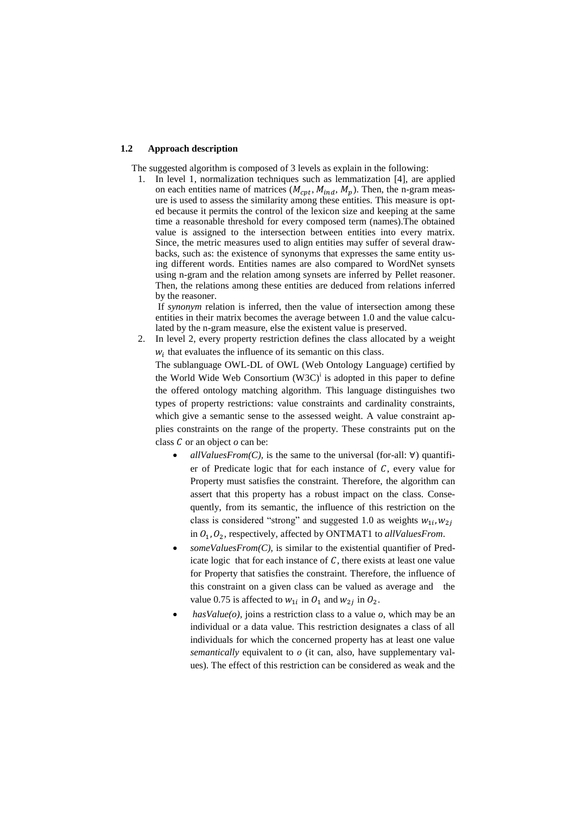## **1.2 Approach description**

The suggested algorithm is composed of 3 levels as explain in the following:

1. In level 1, normalization techniques such as lemmatization [4], are applied on each entities name of matrices ( $M_{\text{cpt}}$ ,  $M_{\text{ind}}$ ,  $M_p$ ). Then, the n-gram measure is used to assess the similarity among these entities. This measure is opted because it permits the control of the lexicon size and keeping at the same time a reasonable threshold for every composed term (names).The obtained value is assigned to the intersection between entities into every matrix. Since, the metric measures used to align entities may suffer of several drawbacks, such as: the existence of synonyms that expresses the same entity using different words. Entities names are also compared to WordNet synsets using n-gram and the relation among synsets are inferred by Pellet reasoner. Then, the relations among these entities are deduced from relations inferred by the reasoner.

If *synonym* relation is inferred, then the value of intersection among these entities in their matrix becomes the average between 1.0 and the value calculated by the n-gram measure, else the existent value is preserved.

2. In level 2, every property restriction defines the class allocated by a weight  $w<sub>i</sub>$  that evaluates the influence of its semantic on this class.

The sublanguage OWL-DL of OWL (Web Ontology Language) certified by the World Wide Web Consortium  $(W3C)^{i}$  is adopted in this paper to define the offered ontology matching algorithm. This language distinguishes two types of property restrictions: value constraints and cardinality constraints, which give a semantic sense to the assessed weight. A value constraint applies constraints on the range of the property. These constraints put on the class  $C$  or an object  $o$  can be:

- *allValuesFrom(C),* is the same to the universal (for-all:  $\forall$ ) quantifier of Predicate logic that for each instance of  $C$ , every value for Property must satisfies the constraint. Therefore, the algorithm can assert that this property has a robust impact on the class. Consequently, from its semantic, the influence of this restriction on the class is considered "strong" and suggested 1.0 as weights  $w_{1i}$ , in  $O_1$ ,  $O_2$ , respectively, affected by ONTMAT1 to *allValuesFrom*.
- *someValuesFrom(C),* is similar to the existential quantifier of Predicate logic that for each instance of  $C$ , there exists at least one value for Property that satisfies the constraint. Therefore, the influence of this constraint on a given class can be valued as average and the value 0.75 is affected to  $w_{1i}$  in  $Q_1$  and  $w_{2i}$  in  $Q_2$ .
- $hasValue(o)$ , joins a restriction class to a value  $o$ , which may be an individual or a data value. This restriction designates a class of all individuals for which the concerned property has at least one value *semantically* equivalent to *o* (it can, also, have supplementary values). The effect of this restriction can be considered as weak and the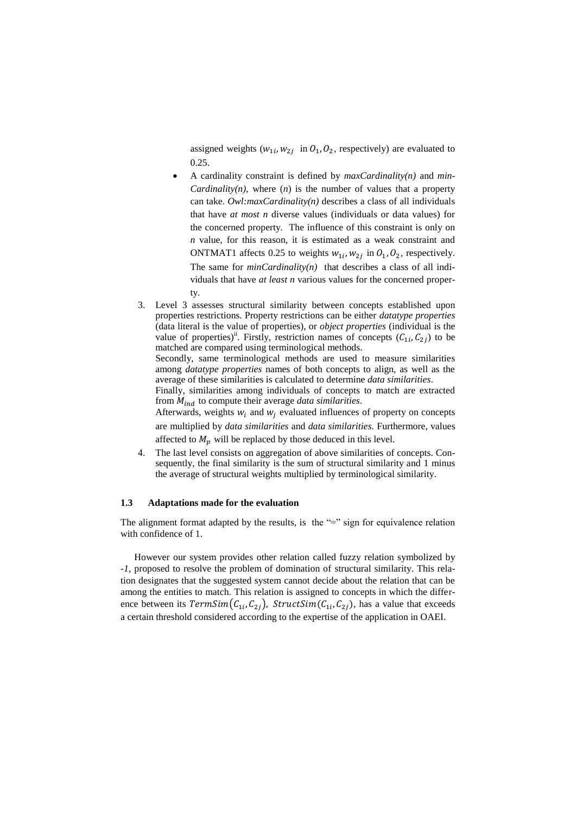assigned weights  $(w_{1i}, w_{2i})$  in  $\mathcal{O}_1, \mathcal{O}_2$ , respectively) are evaluated to 0.25.

- A cardinality constraint is defined by *maxCardinality(n)* and *min-Cardinality(n)*, where  $(n)$  is the number of values that a property can take. *[Owl:maxCardinality\(](http://www.w3.org/TR/2004/REC-owl-semantics-20040210/#owl_maxCardinality)n)* describes a class of all individuals that have *at most n* diverse values (individuals or data values) for the concerned property. The influence of this constraint is only on *n* value, for this reason, it is estimated as a weak constraint and ONTMAT1 affects 0.25 to weights  $w_{1i}$ ,  $w_{2i}$  in  $O_1$ ,  $O_2$ , respectively. The same for *minCardinality(n)* that describes a class of all individuals that have *at least n* various values for the concerned property.
- 3. Level 3 assesses structural similarity between concepts established upon properties restrictions. Property restrictions can be either *datatype properties* (data literal is the value of properties), or *object properties* (individual is the value of properties)<sup>ii</sup>. Firstly, restriction names of concepts  $(C_{1i}, C_{2i})$  to be matched are compared using terminological methods.

Secondly, same terminological methods are used to measure similarities among *datatype properties* names of both concepts to align, as well as the average of these similarities is calculated to determine *data similarities*.

Finally, similarities among individuals of concepts to match are extracted from  $M_{ind}$  to compute their average *data similarities*.

Afterwards, weights  $w_i$  and  $w_i$  evaluated influences of property on concepts

are multiplied by *data similarities* and *data similarities*. Furthermore, values affected to  $M_p$  will be replaced by those deduced in this level.

4. The last level consists on aggregation of above similarities of concepts. Consequently, the final similarity is the sum of structural similarity and 1 minus the average of structural weights multiplied by terminological similarity.

## **1.3 Adaptations made for the evaluation**

The alignment format adapted by the results, is the "=" sign for equivalence relation with confidence of 1.

However our system provides other relation called fuzzy relation symbolized by *-1*, proposed to resolve the problem of domination of structural similarity. This relation designates that the suggested system cannot decide about the relation that can be among the entities to match. This relation is assigned to concepts in which the difference between its  $TermSim(C_{1i}, C_{2i})$ ,  $StructSim(C_{1i}, C_{2i})$ , has a value that exceeds a certain threshold considered according to the expertise of the application in OAEI.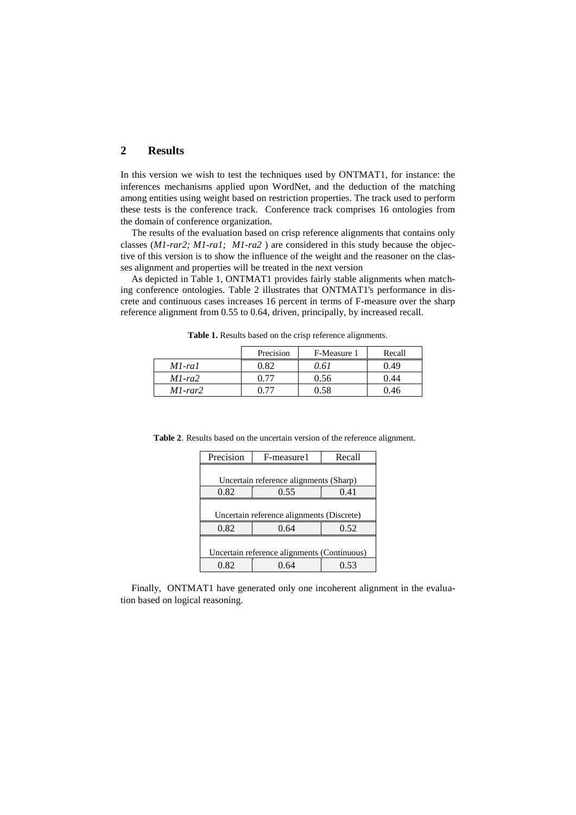## **2 Results**

In this version we wish to test the techniques used by ONTMAT1, for instance: the inferences mechanisms applied upon WordNet, and the deduction of the matching among entities using weight based on restriction properties. The track used to perform these tests is the conference track. Conference track comprises 16 ontologies from the domain of conference organization.

The results of the evaluation based on crisp reference alignments that contains only classes (*M1-rar2; M1-ra1; M1-ra2* ) are considered in this study because the objective of this version is to show the influence of the weight and the reasoner on the classes alignment and properties will be treated in the next version

As depicted in Table 1, ONTMAT1 provides fairly stable alignments when matching conference ontologies. Table 2 illustrates that ONTMAT1's performance in discrete and continuous cases increases 16 percent in terms of F-measure over the sharp reference alignment from 0.55 to 0.64, driven, principally, by increased recall.

|               | Precision | F-Measure 1 | Recall |
|---------------|-----------|-------------|--------|
| $M1$ -ral     | 0.82      | 0.61        | 0.49   |
| $M1-ra2$      | 0.77      | 0.56        | 0.44   |
| $M1$ -rar $2$ | በ 77      | በ 58        | 0.46   |

**Table 1.** Results based on the crisp reference alignments.

**Table 2**. Results based on the uncertain version of the reference alignment.

| Precision                                   | F-measure1 | Recall |  |  |
|---------------------------------------------|------------|--------|--|--|
|                                             |            |        |  |  |
| Uncertain reference alignments (Sharp)      |            |        |  |  |
| 0.82                                        | 0.55       | 0.41   |  |  |
|                                             |            |        |  |  |
| Uncertain reference alignments (Discrete)   |            |        |  |  |
| 0.82                                        | 0.64       | 0.52   |  |  |
|                                             |            |        |  |  |
| Uncertain reference alignments (Continuous) |            |        |  |  |
| 0.82                                        | 0.64       | 0.53   |  |  |

Finally, ONTMAT1 have generated only one incoherent alignment in the evaluation based on logical reasoning.